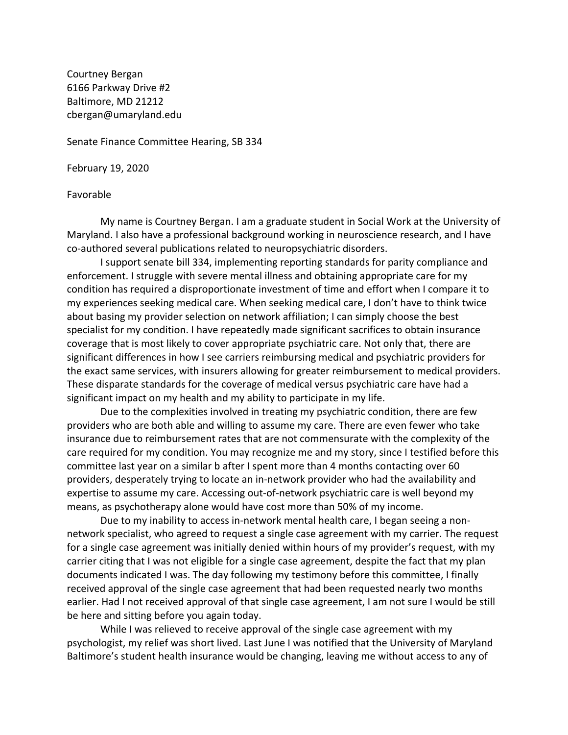Courtney Bergan 6166 Parkway Drive #2 Baltimore, MD 21212 cbergan@umaryland.edu

Senate Finance Committee Hearing, SB 334

February 19, 2020

## Favorable

My name is Courtney Bergan. I am a graduate student in Social Work at the University of Maryland. I also have a professional background working in neuroscience research, and I have co-authored several publications related to neuropsychiatric disorders.

I support senate bill 334, implementing reporting standards for parity compliance and enforcement. I struggle with severe mental illness and obtaining appropriate care for my condition has required a disproportionate investment of time and effort when I compare it to my experiences seeking medical care. When seeking medical care, I don't have to think twice about basing my provider selection on network affiliation; I can simply choose the best specialist for my condition. I have repeatedly made significant sacrifices to obtain insurance coverage that is most likely to cover appropriate psychiatric care. Not only that, there are significant differences in how I see carriers reimbursing medical and psychiatric providers for the exact same services, with insurers allowing for greater reimbursement to medical providers. These disparate standards for the coverage of medical versus psychiatric care have had a significant impact on my health and my ability to participate in my life.

Due to the complexities involved in treating my psychiatric condition, there are few providers who are both able and willing to assume my care. There are even fewer who take insurance due to reimbursement rates that are not commensurate with the complexity of the care required for my condition. You may recognize me and my story, since I testified before this committee last year on a similar b after I spent more than 4 months contacting over 60 providers, desperately trying to locate an in-network provider who had the availability and expertise to assume my care. Accessing out-of-network psychiatric care is well beyond my means, as psychotherapy alone would have cost more than 50% of my income.

Due to my inability to access in-network mental health care, I began seeing a nonnetwork specialist, who agreed to request a single case agreement with my carrier. The request for a single case agreement was initially denied within hours of my provider's request, with my carrier citing that I was not eligible for a single case agreement, despite the fact that my plan documents indicated I was. The day following my testimony before this committee, I finally received approval of the single case agreement that had been requested nearly two months earlier. Had I not received approval of that single case agreement, I am not sure I would be still be here and sitting before you again today.

While I was relieved to receive approval of the single case agreement with my psychologist, my relief was short lived. Last June I was notified that the University of Maryland Baltimore's student health insurance would be changing, leaving me without access to any of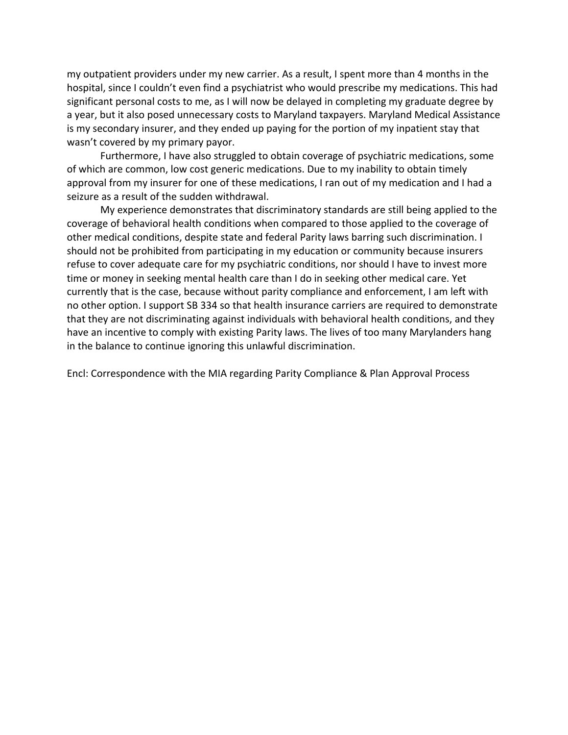my outpatient providers under my new carrier. As a result, I spent more than 4 months in the hospital, since I couldn't even find a psychiatrist who would prescribe my medications. This had significant personal costs to me, as I will now be delayed in completing my graduate degree by a year, but it also posed unnecessary costs to Maryland taxpayers. Maryland Medical Assistance is my secondary insurer, and they ended up paying for the portion of my inpatient stay that wasn't covered by my primary payor.

Furthermore, I have also struggled to obtain coverage of psychiatric medications, some of which are common, low cost generic medications. Due to my inability to obtain timely approval from my insurer for one of these medications, I ran out of my medication and I had a seizure as a result of the sudden withdrawal.

My experience demonstrates that discriminatory standards are still being applied to the coverage of behavioral health conditions when compared to those applied to the coverage of other medical conditions, despite state and federal Parity laws barring such discrimination. I should not be prohibited from participating in my education or community because insurers refuse to cover adequate care for my psychiatric conditions, nor should I have to invest more time or money in seeking mental health care than I do in seeking other medical care. Yet currently that is the case, because without parity compliance and enforcement, I am left with no other option. I support SB 334 so that health insurance carriers are required to demonstrate that they are not discriminating against individuals with behavioral health conditions, and they have an incentive to comply with existing Parity laws. The lives of too many Marylanders hang in the balance to continue ignoring this unlawful discrimination.

Encl: Correspondence with the MIA regarding Parity Compliance & Plan Approval Process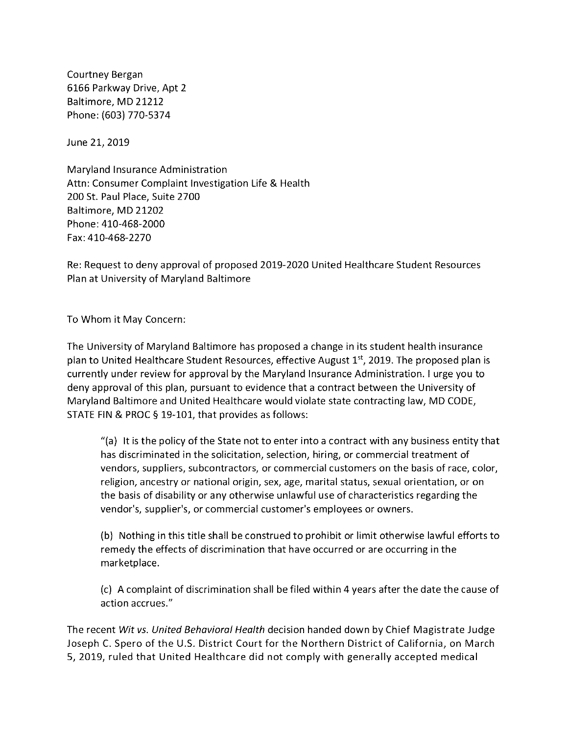Courtney Bergan 6166 Parkway Drive, Apt 2 Baltimore, MD 21212 Phone: (603) 770-5374

June 21, 2019

Maryland Insurance Administration Attn: Consumer Complaint Investigation Life & Health 200 St. Paul Place, Suite 2700 Baltimore, MD 21202 Phone: 410-468-2000 Fax: 410-468-2270

Re: Request to deny approval of proposed 2019-2020 United Healthcare Student Resources Plan at University of Maryland Baltimore

To Whom it May Concern:

The University of Maryland Baltimore has proposed a change in its student health insurance plan to United Healthcare Student Resources, effective August 1<sup>st</sup>, 2019. The proposed plan is currently under review for approval by the Maryland Insurance Administration. I urge you to deny approval of this plan, pursuant to evidence that a contract between the University of Maryland Baltimore and United Healthcare would violate state contracting law, MD CODE, STATE FIN & PROC § 19-101, that provides as follows:

"(a) It is the policy of the State not to enter into a contract with any business entity that has discriminated in the solicitation, selection, hiring, or commercial treatment of vendors, suppliers, subcontractors, or commercial customers on the basis of race, color, religion, ancestry or national origin, sex, age, marital status, sexual orientation, or on the basis of disability or any otherwise unlawful use of characteristics regarding the vendor's, supplier's, or commercial customer's employees or owners.

(b) Nothing in this title shall be construed to prohibit or limit otherwise lawful efforts to remedy the effects of discrimination that have occurred or are occurring in the marketplace.

(c) A complaint of discrimination shall be filed within 4 years after the date the cause of action accrues."

The recent Wit vs. United Behavioral Health decision handed down by Chief Magistrate Judge Joseph C. Spero of the U.S. District Court for the Northern District of California, on March 5, 2019, ruled that United Healthcare did not comply with generally accepted medical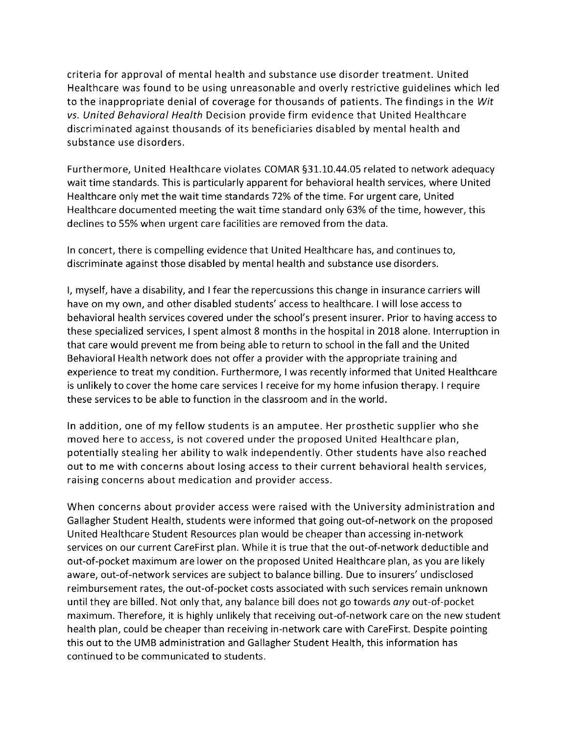criteria for approval of mental health and substance use disorder treatment. United Healthcare was found to be using unreasonable and overly restrictive guidelines which led to the inappropriate denial of coverage for thousands of patients. The findings in the Wit vs. United Behavioral Health Decision provide firm evidence that United Healthcare discriminated against thousands of its beneficiaries disabled by mental health and substance use disorders.

Furthermore, United Healthcare violates COMAR §31.10.44.05 related to network adequacy wait time standards. This is particularly apparent for behavioral health services, where United Healthcare only met the wait time standards 72% of the time. For urgent care, United Healthcare documented meeting the wait time standard only 63% of the time, however, this declines to 55% when urgent care facilities are removed from the data.

In concert, there is compelling evidence that United Healthcare has, and continues to, discriminate against those disabled by mental health and substance use disorders.

I, myself, have a disability, and I fear the repercussions this change in insurance carriers will have on my own, and other disabled students' access to healthcare. I will lose access to behavioral health services covered under the school's present insurer. Prior to having access to these specialized services, I spent almost 8 months in the hospital in 2018 alone. Interruption in that care would prevent me from being able to return to school in the fall and the United Behavioral Health network does not offer a provider with the appropriate training and experience to treat my condition. Furthermore, I was recently informed that United Healthcare is unlikely to cover the home care services I receive for my home infusion therapy. I require these services to be able to function in the classroom and in the world.

In addition, one of my fellow students is an amputee. Her prosthetic supplier who she moved here to access, is not covered under the proposed United Healthcare plan, potentially stealing her ability to walk independently. Other students have also reached out to me with concerns about losing access to their current behavioral health services, raising concerns about medication and provider access.

When concerns about provider access were raised with the University administration and Gallagher Student Health, students were informed that going out-of-network on the proposed United Healthcare Student Resources plan would be cheaper than accessing in-network services on our current CareFirst plan. While it is true that the out-of-network deductible and out-of-pocket maximum are lower on the proposed United Healthcare plan, as you are likely aware, out-of-network services are subject to balance billing. Due to insurers' undisclosed reimbursement rates, the out-of-pocket costs associated with such services remain unknown until they are billed. Not only that, any balance bill does not go towards any out-of-pocket maximum. Therefore, it is highly unlikely that receiving out-of-network care on the new student health plan, could be cheaper than receiving in-network care with CareFirst. Despite pointing this out to the UMB administration and Gallagher Student Health, this information has continued to be communicated to students.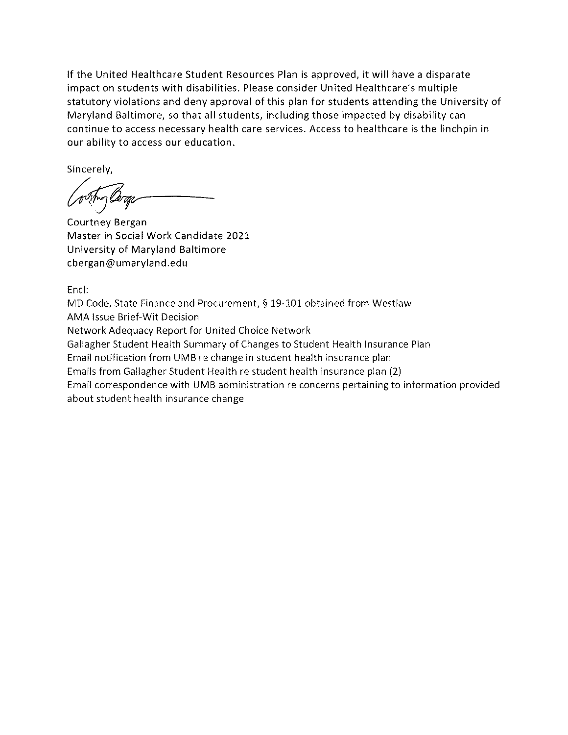If the United Healthcare Student Resources Plan is approved, it will have a disparate impact on students with disabilities. Please consider United Healthcare's multiple statutory violations and deny approval of this plan for students attending the University of Maryland Baltimore, so that all students, including those impacted by disability can continue to access necessary health care services. Access to healthcare is the linchpin in our ability to access our education.

Sincerely,

Courtney Bergan Master in Social Work Candidate 2021 University of Maryland Baltimore cbergan@umaryland.edu

Encl:

MD Code, State Finance and Procurement, § 19-101 obtained from Westlaw **AMA Issue Brief-Wit Decision** Network Adequacy Report for United Choice Network Gallagher Student Health Summary of Changes to Student Health Insurance Plan Email notification from UMB re change in student health insurance plan Emails from Gallagher Student Health re student health insurance plan (2) Email correspondence with UMB administration re concerns pertaining to information provided about student health insurance change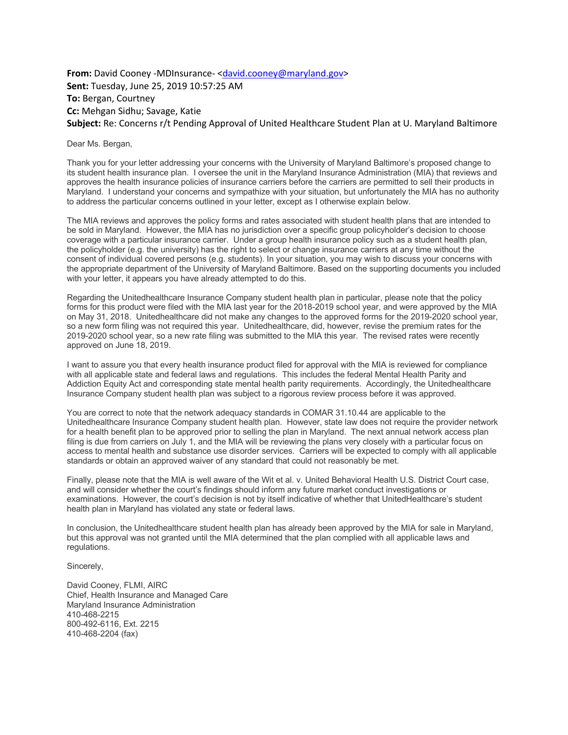## **From:** David Cooney -MDInsurance- <david.cooney@maryland.gov> **Sent:** Tuesday, June 25, 2019 10:57:25 AM **To:** Bergan, Courtney **Cc:** Mehgan Sidhu; Savage, Katie **Subject:** Re: Concerns r/t Pending Approval of United Healthcare Student Plan at U. Maryland Baltimore

Dear Ms. Bergan,

Thank you for your letter addressing your concerns with the University of Maryland Baltimore's proposed change to its student health insurance plan. I oversee the unit in the Maryland Insurance Administration (MIA) that reviews and approves the health insurance policies of insurance carriers before the carriers are permitted to sell their products in Maryland. I understand your concerns and sympathize with your situation, but unfortunately the MIA has no authority to address the particular concerns outlined in your letter, except as I otherwise explain below.

The MIA reviews and approves the policy forms and rates associated with student health plans that are intended to be sold in Maryland. However, the MIA has no jurisdiction over a specific group policyholder's decision to choose coverage with a particular insurance carrier. Under a group health insurance policy such as a student health plan, the policyholder (e.g. the university) has the right to select or change insurance carriers at any time without the consent of individual covered persons (e.g. students). In your situation, you may wish to discuss your concerns with the appropriate department of the University of Maryland Baltimore. Based on the supporting documents you included with your letter, it appears you have already attempted to do this.

Regarding the Unitedhealthcare Insurance Company student health plan in particular, please note that the policy forms for this product were filed with the MIA last year for the 2018-2019 school year, and were approved by the MIA on May 31, 2018. Unitedhealthcare did not make any changes to the approved forms for the 2019-2020 school year, so a new form filing was not required this year. Unitedhealthcare, did, however, revise the premium rates for the 2019-2020 school year, so a new rate filing was submitted to the MIA this year. The revised rates were recently approved on June 18, 2019.

I want to assure you that every health insurance product filed for approval with the MIA is reviewed for compliance with all applicable state and federal laws and regulations. This includes the federal Mental Health Parity and Addiction Equity Act and corresponding state mental health parity requirements. Accordingly, the Unitedhealthcare Insurance Company student health plan was subject to a rigorous review process before it was approved.

You are correct to note that the network adequacy standards in COMAR 31.10.44 are applicable to the Unitedhealthcare Insurance Company student health plan. However, state law does not require the provider network for a health benefit plan to be approved prior to selling the plan in Maryland. The next annual network access plan filing is due from carriers on July 1, and the MIA will be reviewing the plans very closely with a particular focus on access to mental health and substance use disorder services. Carriers will be expected to comply with all applicable standards or obtain an approved waiver of any standard that could not reasonably be met.

Finally, please note that the MIA is well aware of the Wit et al. v. United Behavioral Health U.S. District Court case, and will consider whether the court's findings should inform any future market conduct investigations or examinations. However, the court's decision is not by itself indicative of whether that UnitedHealthcare's student health plan in Maryland has violated any state or federal laws.

In conclusion, the Unitedhealthcare student health plan has already been approved by the MIA for sale in Maryland, but this approval was not granted until the MIA determined that the plan complied with all applicable laws and regulations.

Sincerely,

David Cooney, FLMI, AIRC Chief, Health Insurance and Managed Care Maryland Insurance Administration 410-468-2215 800-492-6116, Ext. 2215 410-468-2204 (fax)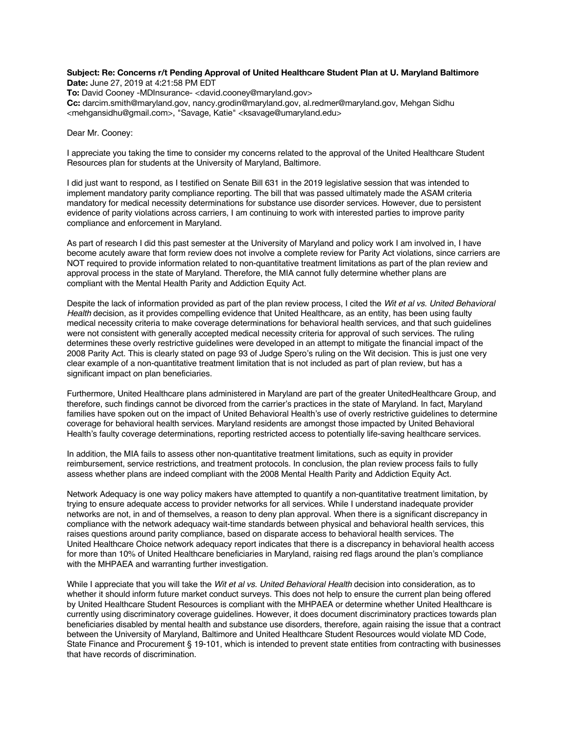## **Subject: Re: Concerns r/t Pending Approval of United Healthcare Student Plan at U. Maryland Baltimore Date:** June 27, 2019 at 4:21:58 PM EDT

**To:** David Cooney -MDInsurance- <david.cooney@maryland.gov> **Cc:** darcim.smith@maryland.gov, nancy.grodin@maryland.gov, al.redmer@maryland.gov, Mehgan Sidhu <mehgansidhu@gmail.com>, "Savage, Katie" <ksavage@umaryland.edu>

Dear Mr. Cooney:

I appreciate you taking the time to consider my concerns related to the approval of the United Healthcare Student Resources plan for students at the University of Maryland, Baltimore.

I did just want to respond, as I testified on Senate Bill 631 in the 2019 legislative session that was intended to implement mandatory parity compliance reporting. The bill that was passed ultimately made the ASAM criteria mandatory for medical necessity determinations for substance use disorder services. However, due to persistent evidence of parity violations across carriers, I am continuing to work with interested parties to improve parity compliance and enforcement in Maryland.

As part of research I did this past semester at the University of Maryland and policy work I am involved in, I have become acutely aware that form review does not involve a complete review for Parity Act violations, since carriers are NOT required to provide information related to non-quantitative treatment limitations as part of the plan review and approval process in the state of Maryland. Therefore, the MIA cannot fully determine whether plans are compliant with the Mental Health Parity and Addiction Equity Act.

Despite the lack of information provided as part of the plan review process, I cited the *Wit et al vs. United Behavioral Health* decision, as it provides compelling evidence that United Healthcare, as an entity, has been using faulty medical necessity criteria to make coverage determinations for behavioral health services, and that such guidelines were not consistent with generally accepted medical necessity criteria for approval of such services. The ruling determines these overly restrictive guidelines were developed in an attempt to mitigate the financial impact of the 2008 Parity Act. This is clearly stated on page 93 of Judge Spero's ruling on the Wit decision. This is just one very clear example of a non-quantitative treatment limitation that is not included as part of plan review, but has a significant impact on plan beneficiaries.

Furthermore, United Healthcare plans administered in Maryland are part of the greater UnitedHealthcare Group, and therefore, such findings cannot be divorced from the carrier's practices in the state of Maryland. In fact, Maryland families have spoken out on the impact of United Behavioral Health's use of overly restrictive guidelines to determine coverage for behavioral health services. Maryland residents are amongst those impacted by United Behavioral Health's faulty coverage determinations, reporting restricted access to potentially life-saving healthcare services.

In addition, the MIA fails to assess other non-quantitative treatment limitations, such as equity in provider reimbursement, service restrictions, and treatment protocols. In conclusion, the plan review process fails to fully assess whether plans are indeed compliant with the 2008 Mental Health Parity and Addiction Equity Act.

Network Adequacy is one way policy makers have attempted to quantify a non-quantitative treatment limitation, by trying to ensure adequate access to provider networks for all services. While I understand inadequate provider networks are not, in and of themselves, a reason to deny plan approval. When there is a significant discrepancy in compliance with the network adequacy wait-time standards between physical and behavioral health services, this raises questions around parity compliance, based on disparate access to behavioral health services. The United Healthcare Choice network adequacy report indicates that there is a discrepancy in behavioral health access for more than 10% of United Healthcare beneficiaries in Maryland, raising red flags around the plan's compliance with the MHPAEA and warranting further investigation.

While I appreciate that you will take the *Wit et al vs. United Behavioral Health* decision into consideration, as to whether it should inform future market conduct surveys. This does not help to ensure the current plan being offered by United Healthcare Student Resources is compliant with the MHPAEA or determine whether United Healthcare is currently using discriminatory coverage guidelines. However, it does document discriminatory practices towards plan beneficiaries disabled by mental health and substance use disorders, therefore, again raising the issue that a contract between the University of Maryland, Baltimore and United Healthcare Student Resources would violate MD Code, State Finance and Procurement § 19-101, which is intended to prevent state entities from contracting with businesses that have records of discrimination.